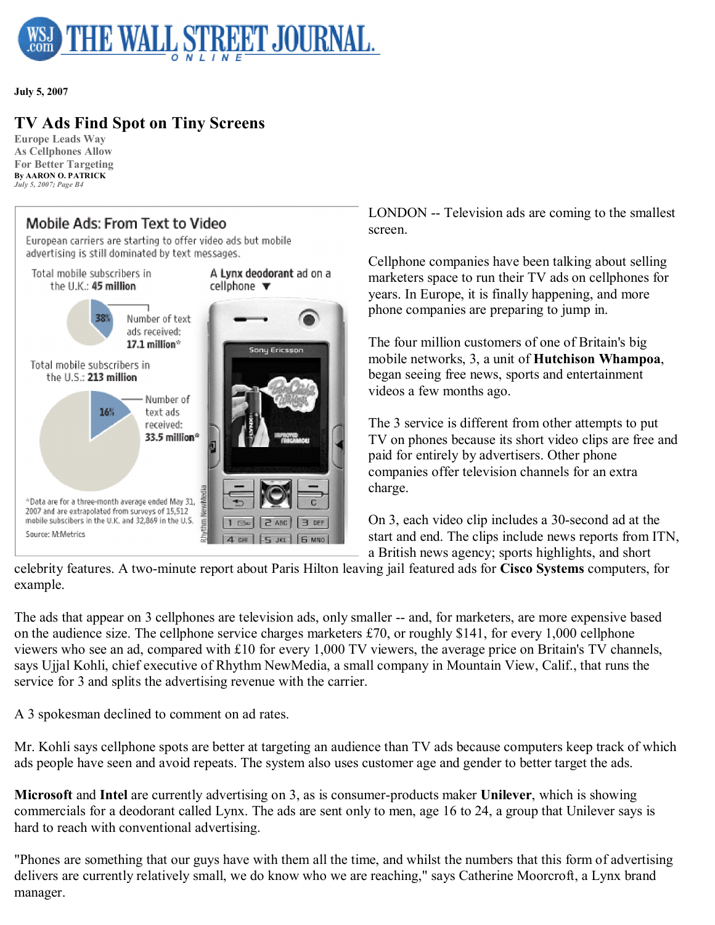

**July 5, 2007**

## **TV Ads Find Spot on Tiny Screens**

**Europe Leads Way As Cellphones Allow For Better Targeting By AARON O. PATRICK** *July 5, 2007; Page B4*

## Mobile Ads: From Text to Video

European carriers are starting to offer video ads but mobile advertising is still dominated by text messages.



LONDON -- Television ads are coming to the smallest screen.

Cellphone companies have been talking about selling marketers space to run their TV ads on cellphones for years. In Europe, it is finally happening, and more phone companies are preparing to jump in.

The four million customers of one of Britain's big mobile networks, 3, a unit of **Hutchison Whampoa**, began seeing free news, sports and entertainment videos a few months ago.

The 3 service is different from other attempts to put TV on phones because its short video clips are free and paid for entirely by advertisers. Other phone companies offer television channels for an extra charge.

On 3, each video clip includes a 30-second ad at the start and end. The clips include news reports from ITN, a British news agency; sports highlights, and short

celebrity features. A two-minute report about Paris Hilton leaving jail featured ads for **Cisco Systems** computers, for example.

The ads that appear on 3 cellphones are television ads, only smaller -- and, for marketers, are more expensive based on the audience size. The cellphone service charges marketers £70, or roughly \$141, for every 1,000 cellphone viewers who see an ad, compared with £10 for every 1,000 TV viewers, the average price on Britain's TV channels, says Ujjal Kohli, chief executive of Rhythm NewMedia, a small company in Mountain View, Calif., that runs the service for 3 and splits the advertising revenue with the carrier.

A 3 spokesman declined to comment on ad rates.

Mr. Kohli says cellphone spots are better at targeting an audience than TV ads because computers keep track of which ads people have seen and avoid repeats. The system also uses customer age and gender to better target the ads.

**Microsoft** and **Intel** are currently advertising on 3, as is consumer-products maker **Unilever**, which is showing commercials for a deodorant called Lynx. The ads are sent only to men, age 16 to 24, a group that Unilever says is hard to reach with conventional advertising.

"Phones are something that our guys have with them all the time, and whilst the numbers that this form of advertising delivers are currently relatively small, we do know who we are reaching," says Catherine Moorcroft, a Lynx brand manager.